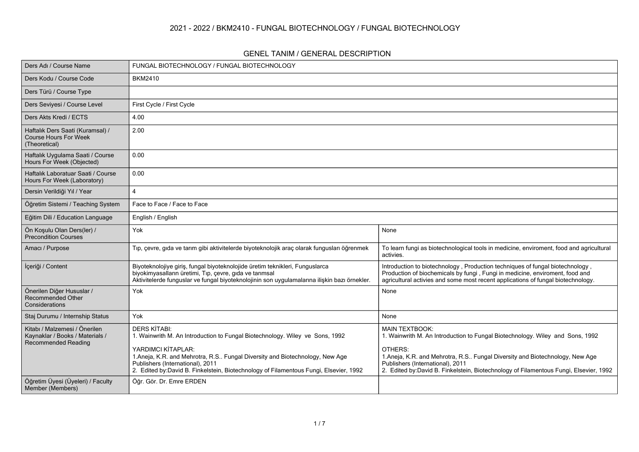#### **2021 - 2022 / BKM2410 - FUNGAL BIOTECHNOLOGY / FUNGAL BIOTECHNOLOGY**

#### **GENEL TANIM / GENERAL DESCRIPTION**

| Ders Adı / Course Name                                                                         | FUNGAL BIOTECHNOLOGY / FUNGAL BIOTECHNOLOGY                                                                                                                                                                                                                                                                                            |                                                                                                                                                                                                                                                                                                                               |
|------------------------------------------------------------------------------------------------|----------------------------------------------------------------------------------------------------------------------------------------------------------------------------------------------------------------------------------------------------------------------------------------------------------------------------------------|-------------------------------------------------------------------------------------------------------------------------------------------------------------------------------------------------------------------------------------------------------------------------------------------------------------------------------|
| Ders Kodu / Course Code                                                                        | <b>BKM2410</b>                                                                                                                                                                                                                                                                                                                         |                                                                                                                                                                                                                                                                                                                               |
| Ders Türü / Course Type                                                                        |                                                                                                                                                                                                                                                                                                                                        |                                                                                                                                                                                                                                                                                                                               |
| Ders Seviyesi / Course Level                                                                   | First Cycle / First Cycle                                                                                                                                                                                                                                                                                                              |                                                                                                                                                                                                                                                                                                                               |
| Ders Akts Kredi / ECTS                                                                         | 4.00                                                                                                                                                                                                                                                                                                                                   |                                                                                                                                                                                                                                                                                                                               |
| Haftalık Ders Saati (Kuramsal) /<br><b>Course Hours For Week</b><br>(Theoretical)              | 2.00                                                                                                                                                                                                                                                                                                                                   |                                                                                                                                                                                                                                                                                                                               |
| Haftalık Uygulama Saati / Course<br>Hours For Week (Objected)                                  | 0.00                                                                                                                                                                                                                                                                                                                                   |                                                                                                                                                                                                                                                                                                                               |
| Haftalık Laboratuar Saati / Course<br>Hours For Week (Laboratory)                              | 0.00                                                                                                                                                                                                                                                                                                                                   |                                                                                                                                                                                                                                                                                                                               |
| Dersin Verildiği Yıl / Year                                                                    | $\overline{A}$                                                                                                                                                                                                                                                                                                                         |                                                                                                                                                                                                                                                                                                                               |
| Öğretim Sistemi / Teaching System                                                              | Face to Face / Face to Face                                                                                                                                                                                                                                                                                                            |                                                                                                                                                                                                                                                                                                                               |
| Eğitim Dili / Education Language                                                               | English / English                                                                                                                                                                                                                                                                                                                      |                                                                                                                                                                                                                                                                                                                               |
| Ön Kosulu Olan Ders(ler) /<br><b>Precondition Courses</b>                                      | Yok                                                                                                                                                                                                                                                                                                                                    | None                                                                                                                                                                                                                                                                                                                          |
| Amacı / Purpose                                                                                | Tıp, çevre, gıda ve tarım gibi aktivitelerde biyoteknolojik araç olarak fungusları öğrenmek                                                                                                                                                                                                                                            | To learn fungi as biotechnological tools in medicine, enviroment, food and agricultural<br>activies.                                                                                                                                                                                                                          |
| İçeriği / Content                                                                              | Biyoteknolojiye giriş, fungal biyoteknolojide üretim teknikleri, Funguslarca<br>biyokimyasalların üretimi, Tıp, çevre, gıda ve tarımsal<br>Aktivitelerde funguslar ve fungal biyoteknolojinin son uygulamalarına ilişkin bazı örnekler.                                                                                                | Introduction to biotechnology, Production techniques of fungal biotechnology,<br>Production of biochemicals by fungi, Fungi in medicine, enviroment, food and<br>agricultural activies and some most recent applications of fungal biotechnology.                                                                             |
| Önerilen Diğer Hususlar /<br>Recommended Other<br>Considerations                               | Yok                                                                                                                                                                                                                                                                                                                                    | None                                                                                                                                                                                                                                                                                                                          |
| Staj Durumu / Internship Status                                                                | Yok                                                                                                                                                                                                                                                                                                                                    | None                                                                                                                                                                                                                                                                                                                          |
| Kitabı / Malzemesi / Önerilen<br>Kaynaklar / Books / Materials /<br><b>Recommended Reading</b> | <b>DERS KİTABI:</b><br>1. Wainwrith M. An Introduction to Fungal Biotechnology. Wiley ve Sons, 1992<br>YARDIMCI KİTAPLAR:<br>1. Aneja, K.R. and Mehrotra, R.S Fungal Diversity and Biotechnology, New Age<br>Publishers (International), 2011<br>2. Edited by David B. Finkelstein, Biotechnology of Filamentous Fungi, Elsevier, 1992 | <b>MAIN TEXTBOOK:</b><br>1. Wainwrith M. An Introduction to Fungal Biotechnology. Wiley and Sons, 1992<br>OTHERS:<br>1.Aneja, K.R. and Mehrotra, R.S Fungal Diversity and Biotechnology, New Age<br>Publishers (International), 2011<br>2. Edited by:David B. Finkelstein, Biotechnology of Filamentous Fungi, Elsevier, 1992 |
| Öğretim Üyesi (Üyeleri) / Faculty<br>Member (Members)                                          | Öğr. Gör. Dr. Emre ERDEN                                                                                                                                                                                                                                                                                                               |                                                                                                                                                                                                                                                                                                                               |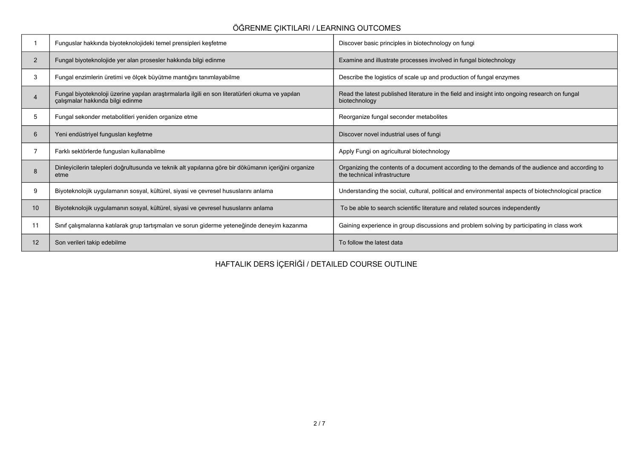## **ÖĞRENME ÇIKTILARI / LEARNING OUTCOMES**

|                       | Funguslar hakkında biyoteknolojideki temel prensipleri keşfetme                                                                      | Discover basic principles in biotechnology on fungi                                                                             |
|-----------------------|--------------------------------------------------------------------------------------------------------------------------------------|---------------------------------------------------------------------------------------------------------------------------------|
| $\overline{2}$        | Fungal biyoteknolojide yer alan prosesler hakkında bilgi edinme                                                                      | Examine and illustrate processes involved in fungal biotechnology                                                               |
| 3                     | Fungal enzimlerin üretimi ve ölçek büyütme mantığını tanımlayabilme                                                                  | Describe the logistics of scale up and production of fungal enzymes                                                             |
| $\boldsymbol{\Delta}$ | Fungal biyoteknoloji üzerine yapılan araştırmalarla ilgili en son literatürleri okuma ve yapılan<br>çalışmalar hakkında bilgi edinme | Read the latest published literature in the field and insight into ongoing research on fungal<br>biotechnology                  |
| 5                     | Fungal sekonder metabolitleri yeniden organize etme                                                                                  | Reorganize fungal seconder metabolites                                                                                          |
| 6                     | Yeni endüstriyel fungusları keşfetme                                                                                                 | Discover novel industrial uses of fungi                                                                                         |
|                       | Farklı sektörlerde fungusları kullanabilme                                                                                           | Apply Fungi on agricultural biotechnology                                                                                       |
|                       | Dinleyicilerin talepleri doğrultusunda ve teknik alt yapılarına göre bir dökümanın içeriğini organize<br>etme                        | Organizing the contents of a document according to the demands of the audience and according to<br>the technical infrastructure |
| 9                     | Biyoteknolojik uygulamanın sosyal, kültürel, siyasi ve çevresel hususlarını anlama                                                   | Understanding the social, cultural, political and environmental aspects of biotechnological practice                            |
| 10                    | Biyoteknolojik uygulamanın sosyal, kültürel, siyasi ve çevresel hususlarını anlama                                                   | To be able to search scientific literature and related sources independently                                                    |
| 11                    | Sınıf çalışmalarına katılarak grup tartışmaları ve sorun giderme yeteneğinde deneyim kazanma                                         | Gaining experience in group discussions and problem solving by participating in class work                                      |
| 12                    | Son verileri takip edebilme                                                                                                          | To follow the latest data                                                                                                       |

**HAFTALIK DERS İÇERİĞİ / DETAILED COURSE OUTLINE**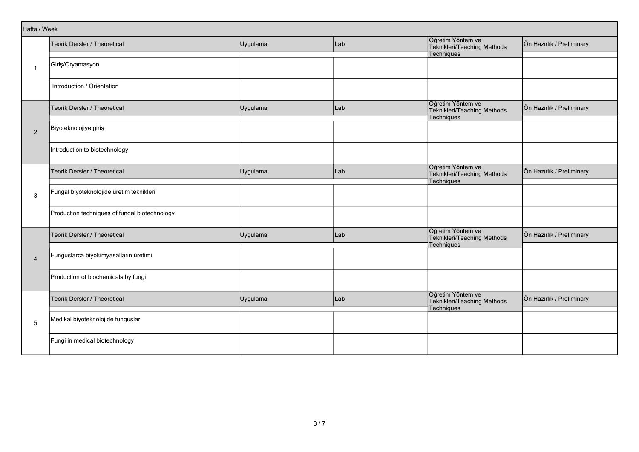|                | Hafta / Week                                  |          |     |                                                                |                           |  |  |  |  |
|----------------|-----------------------------------------------|----------|-----|----------------------------------------------------------------|---------------------------|--|--|--|--|
|                | Teorik Dersler / Theoretical                  | Uygulama | Lab | Öğretim Yöntem ve<br>Teknikleri/Teaching Methods               | Ön Hazırlık / Preliminary |  |  |  |  |
| -1             | Giriş/Oryantasyon                             |          |     | Techniques                                                     |                           |  |  |  |  |
|                | Introduction / Orientation                    |          |     |                                                                |                           |  |  |  |  |
|                | Teorik Dersler / Theoretical                  | Uygulama | Lab | Öğretim Yöntem ve<br>Teknikleri/Teaching Methods<br>Techniques | Ön Hazırlık / Preliminary |  |  |  |  |
| 2              | Biyoteknolojiye giriş                         |          |     |                                                                |                           |  |  |  |  |
|                | Introduction to biotechnology                 |          |     |                                                                |                           |  |  |  |  |
| 3              | Teorik Dersler / Theoretical                  | Uygulama | Lab | Öğretim Yöntem ve<br>Teknikleri/Teaching Methods<br>Techniques | Ön Hazırlık / Preliminary |  |  |  |  |
|                | Fungal biyoteknolojide üretim teknikleri      |          |     |                                                                |                           |  |  |  |  |
|                | Production techniques of fungal biotechnology |          |     |                                                                |                           |  |  |  |  |
|                | Teorik Dersler / Theoretical                  | Uygulama | Lab | Öğretim Yöntem ve<br>Teknikleri/Teaching Methods<br>Techniques | Ön Hazırlık / Preliminary |  |  |  |  |
| $\overline{4}$ | Funguslarca biyokimyasalların üretimi         |          |     |                                                                |                           |  |  |  |  |
|                | Production of biochemicals by fungi           |          |     |                                                                |                           |  |  |  |  |
|                | Teorik Dersler / Theoretical                  | Uygulama | Lab | Öğretim Yöntem ve<br>Teknikleri/Teaching Methods<br>Techniques | Ön Hazırlık / Preliminary |  |  |  |  |
| $\sqrt{5}$     | Medikal biyoteknolojide funguslar             |          |     |                                                                |                           |  |  |  |  |
|                | Fungi in medical biotechnology                |          |     |                                                                |                           |  |  |  |  |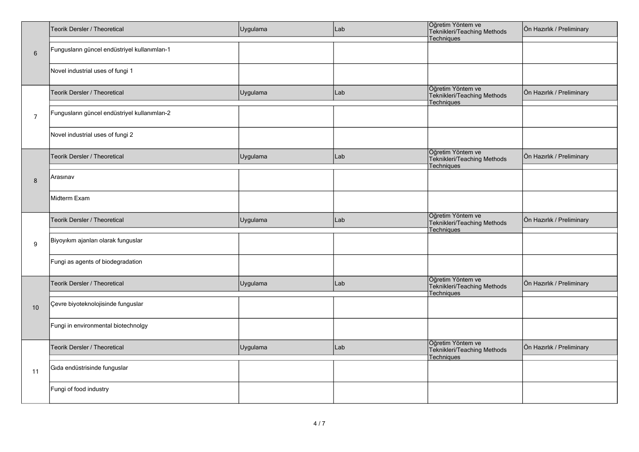|                 | Teorik Dersler / Theoretical                  | Uygulama | Lab | Öğretim Yöntem ve<br>Teknikleri/Teaching Methods<br>Techniques        | Ön Hazırlık / Preliminary |  |  |
|-----------------|-----------------------------------------------|----------|-----|-----------------------------------------------------------------------|---------------------------|--|--|
| $6\phantom{1}6$ | Fungusların güncel endüstriyel kullanımları-1 |          |     |                                                                       |                           |  |  |
|                 | Novel industrial uses of fungi 1              |          |     |                                                                       |                           |  |  |
|                 | Teorik Dersler / Theoretical                  | Uygulama | Lab | Öğretim Yöntem ve<br>Teknikleri/Teaching Methods<br>Techniques        | Ön Hazırlık / Preliminary |  |  |
| $\overline{7}$  | Fungusların güncel endüstriyel kullanımları-2 |          |     |                                                                       |                           |  |  |
|                 | Novel industrial uses of fungi 2              |          |     |                                                                       |                           |  |  |
|                 | Teorik Dersler / Theoretical                  | Uygulama | Lab | Öğretim Yöntem ve<br>Teknikleri/Teaching Methods<br>Techniques        | Ön Hazırlık / Preliminary |  |  |
| 8               | Arasınav                                      |          |     |                                                                       |                           |  |  |
|                 | Midterm Exam                                  |          |     |                                                                       |                           |  |  |
|                 | Teorik Dersler / Theoretical                  | Uygulama | Lab | Öğretim Yöntem ve<br>Teknikleri/Teaching Methods<br><b>Techniques</b> | Ön Hazırlık / Preliminary |  |  |
| 9               | Biyoyıkım ajanları olarak funguslar           |          |     |                                                                       |                           |  |  |
|                 | Fungi as agents of biodegradation             |          |     |                                                                       |                           |  |  |
|                 | Teorik Dersler / Theoretical                  | Uygulama | Lab | Öğretim Yöntem ve<br>Teknikleri/Teaching Methods<br>Techniques        | Ön Hazırlık / Preliminary |  |  |
| 10              | Çevre biyoteknolojisinde funguslar            |          |     |                                                                       |                           |  |  |
|                 | Fungi in environmental biotechnolgy           |          |     |                                                                       |                           |  |  |
|                 | Teorik Dersler / Theoretical                  | Uygulama | Lab | Öğretim Yöntem ve<br>Teknikleri/Teaching Methods<br>Techniques        | Ön Hazırlık / Preliminary |  |  |
| 11              | Gıda endüstrisinde funguslar                  |          |     |                                                                       |                           |  |  |
|                 | Fungi of food industry                        |          |     |                                                                       |                           |  |  |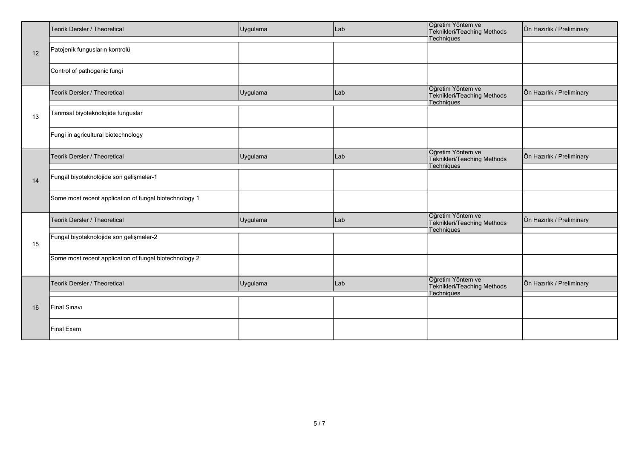|    | Teorik Dersler / Theoretical                           | Uygulama | Lab | Öğretim Yöntem ve<br>Teknikleri/Teaching Methods | Ön Hazırlık / Preliminary |
|----|--------------------------------------------------------|----------|-----|--------------------------------------------------|---------------------------|
|    | Patojenik fungusların kontrolü                         |          |     | Techniques                                       |                           |
| 12 |                                                        |          |     |                                                  |                           |
|    | Control of pathogenic fungi                            |          |     |                                                  |                           |
|    |                                                        |          |     | Öğretim Yöntem ve                                |                           |
|    | Teorik Dersler / Theoretical                           | Uygulama | Lab | Teknikleri/Teaching Methods                      | Ön Hazırlık / Preliminary |
|    |                                                        |          |     | Techniques                                       |                           |
| 13 | Tarımsal biyoteknolojide funguslar                     |          |     |                                                  |                           |
|    | Fungi in agricultural biotechnology                    |          |     |                                                  |                           |
|    |                                                        |          |     |                                                  |                           |
|    | Teorik Dersler / Theoretical                           | Uygulama | Lab | Öğretim Yöntem ve<br>Teknikleri/Teaching Methods | Ön Hazırlık / Preliminary |
|    |                                                        |          |     | Techniques                                       |                           |
| 14 | Fungal biyoteknolojide son gelişmeler-1                |          |     |                                                  |                           |
|    |                                                        |          |     |                                                  |                           |
|    | Some most recent application of fungal biotechnology 1 |          |     |                                                  |                           |
|    |                                                        |          |     | Öğretim Yöntem ve                                |                           |
|    | Teorik Dersler / Theoretical                           | Uygulama | Lab | Teknikleri/Teaching Methods                      | Ön Hazırlık / Preliminary |
|    | Fungal biyoteknolojide son gelişmeler-2                |          |     | Techniques                                       |                           |
| 15 |                                                        |          |     |                                                  |                           |
|    | Some most recent application of fungal biotechnology 2 |          |     |                                                  |                           |
|    |                                                        |          |     |                                                  |                           |
|    | Teorik Dersler / Theoretical                           | Uygulama | Lab | Öğretim Yöntem ve<br>Teknikleri/Teaching Methods | Ön Hazırlık / Preliminary |
|    |                                                        |          |     | Techniques                                       |                           |
| 16 | Final Sinavi                                           |          |     |                                                  |                           |
|    |                                                        |          |     |                                                  |                           |
|    | Final Exam                                             |          |     |                                                  |                           |
|    |                                                        |          |     |                                                  |                           |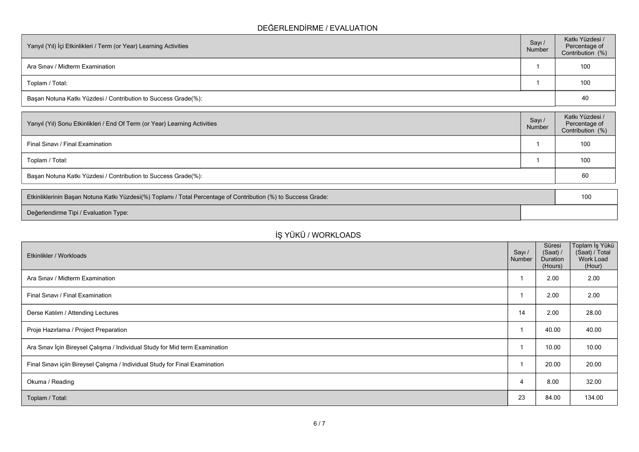## **DEĞERLENDİRME / EVALUATION**

| Yarıyıl (Yıl) İçi Etkinlikleri / Term (or Year) Learning Activities | Sayı /<br>Number | Katkı Yüzdesi /<br>Percentage of<br>Contribution (%) |
|---------------------------------------------------------------------|------------------|------------------------------------------------------|
| Ara Sinav / Midterm Examination                                     |                  | 100                                                  |
| Toplam / Total:                                                     |                  | 100                                                  |
| Başarı Notuna Katkı Yüzdesi / Contribution to Success Grade(%):     |                  | 40                                                   |

| Sayı /<br>Number | Katkı Yüzdesi /<br>Percentage of<br>Contribution (%) |
|------------------|------------------------------------------------------|
|                  | 100                                                  |
|                  | 100                                                  |
|                  | 60                                                   |
|                  |                                                      |

| Etkinliklerinin Başarı Notuna Katkı Yüzdesi(%) Toplamı / Total Percentage of Contribution (%) to Success Grade: |  |
|-----------------------------------------------------------------------------------------------------------------|--|
| Değerlendirme Tipi / Evaluation Type:                                                                           |  |

# **İŞ YÜKÜ / WORKLOADS**

| Etkinlikler / Workloads                                                      | Sayı /<br>Number | Süresi<br>(Saat) /<br>Duration<br>(Hours) | ∣Toplam İş Yükü<br>(Saat) / Total<br>Work Load<br>(Hour) |
|------------------------------------------------------------------------------|------------------|-------------------------------------------|----------------------------------------------------------|
| Ara Sinav / Midterm Examination                                              |                  | 2.00                                      | 2.00                                                     |
| Final Sinavi / Final Examination                                             |                  | 2.00                                      | 2.00                                                     |
| Derse Katılım / Attending Lectures                                           | 14               | 2.00                                      | 28.00                                                    |
| Proje Hazırlama / Project Preparation                                        |                  | 40.00                                     | 40.00                                                    |
| Ara Sınav İçin Bireysel Çalışma / Individual Study for Mid term Examination  |                  | 10.00                                     | 10.00                                                    |
| Final Sınavı içiin Bireysel Çalışma / Individual Study for Final Examination |                  | 20.00                                     | 20.00                                                    |
| Okuma / Reading                                                              | $\overline{4}$   | 8.00                                      | 32.00                                                    |
| Toplam / Total:                                                              | 23               | 84.00                                     | 134.00                                                   |